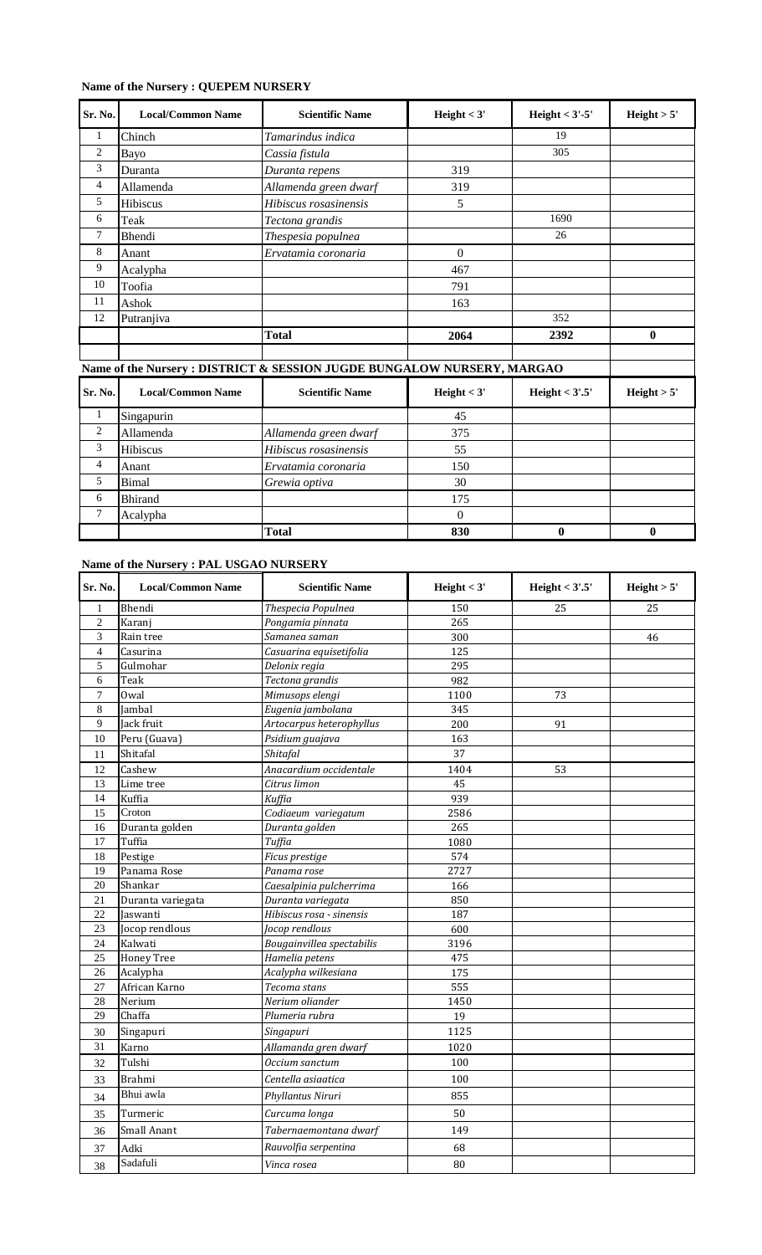# **Name of the Nursery : QUEPEM NURSERY**

| Sr. No.        | <b>Local/Common Name</b> | <b>Scientific Name</b>                                                 | Height $<$ 3' | Height $<$ 3'-5' | Height > 5'  |
|----------------|--------------------------|------------------------------------------------------------------------|---------------|------------------|--------------|
| 1              | Chinch                   | Tamarindus indica                                                      |               | 19               |              |
| $\overline{c}$ | Bayo                     | Cassia fistula                                                         |               | 305              |              |
| 3              | Duranta                  | Duranta repens                                                         | 319           |                  |              |
| 4              | Allamenda                | Allamenda green dwarf                                                  | 319           |                  |              |
| 5              | Hibiscus                 | Hibiscus rosasinensis                                                  | 5             |                  |              |
| 6              | Teak                     | Tectona grandis                                                        |               | 1690             |              |
| $\tau$         | Bhendi                   | Thespesia populnea                                                     |               | 26               |              |
| 8              | Anant                    | Ervatamia coronaria                                                    | $\theta$      |                  |              |
| 9              | Acalypha                 |                                                                        | 467           |                  |              |
| 10             | Toofia                   |                                                                        | 791           |                  |              |
| 11             | Ashok                    |                                                                        | 163           |                  |              |
| 12             | Putranjiva               |                                                                        |               | 352              |              |
|                |                          | <b>Total</b>                                                           | 2064          | 2392             | $\mathbf{0}$ |
|                |                          |                                                                        |               |                  |              |
|                |                          | Name of the Nursery: DISTRICT & SESSION JUGDE BUNGALOW NURSERY, MARGAO |               |                  |              |
| Sr. No.        | <b>Local/Common Name</b> | <b>Scientific Name</b>                                                 | Height $<$ 3' | Height $<$ 3'.5' | Height > 5'  |
| $\mathbf{1}$   | Singapurin               |                                                                        | 45            |                  |              |
| $\mathfrak{2}$ | Allamenda                | Allamenda green dwarf                                                  | 375           |                  |              |
| 3              | Hibiscus                 | Hibiscus rosasinensis                                                  | 55            |                  |              |
| $\overline{4}$ | Anant                    | Ervatamia coronaria                                                    | 150           |                  |              |
| 5              | <b>Bimal</b>             | Grewia optiva                                                          | 30            |                  |              |
| 6              | <b>Bhirand</b>           |                                                                        | 175           |                  |              |
| $\tau$         | Acalypha                 |                                                                        | $\mathbf{0}$  |                  |              |
|                |                          | <b>Total</b>                                                           | 830           | $\bf{0}$         | $\bf{0}$     |

# **Name of the Nursery : PAL USGAO NURSERY**

| Sr. No.         | <b>Local/Common Name</b>   | <b>Scientific Name</b>    | Height $<$ 3' | Height $<$ 3'.5' | Height > 5' |
|-----------------|----------------------------|---------------------------|---------------|------------------|-------------|
| $\mathbf{1}$    | Bhendi                     | Thespecia Populnea        | 150           | 25               | 25          |
| $\mathfrak{2}$  | Karanj                     | Pongamia pinnata          | 265           |                  |             |
| 3               | Rain tree                  | Samanea saman             | 300           |                  | 46          |
| $\overline{4}$  | Casurina                   | Casuarina equisetifolia   | 125           |                  |             |
| 5               | Gulmohar                   | Delonix regia             | 295           |                  |             |
| 6               | Teak                       | Tectona grandis           | 982           |                  |             |
| $\overline{7}$  | Owal                       | Mimusops elengi           | 1100          | 73               |             |
| 8               | Jambal                     | Eugenia jambolana         | 345           |                  |             |
| 9               | Jack fruit                 | Artocarpus heterophyllus  | 200           | 91               |             |
| 10              | Peru (Guava)               | Psidium guajava           | 163           |                  |             |
| 11              | Shitafal                   | Shitafal                  | 37            |                  |             |
| 12              | $\overline{\text{Cashew}}$ | Anacardium occidentale    | 1404          | 53               |             |
| 13              | Lime tree                  | Citrus limon              | 45            |                  |             |
| 14              | Kuffia                     | Kuffia                    | 939           |                  |             |
| $\overline{15}$ | Croton                     | Codiaeum variegatum       | 2586          |                  |             |
| 16              | Duranta golden             | Duranta golden            | 265           |                  |             |
| 17              | Tuffia                     | Tuffia                    | 1080          |                  |             |
| 18              | Pestige                    | Ficus prestige            | 574           |                  |             |
| 19              | Panama Rose                | Panama rose               | 2727          |                  |             |
| 20              | Shankar                    | Caesalpinia pulcherrima   | 166           |                  |             |
| 21              | Duranta variegata          | Duranta variegata         | 850           |                  |             |
| 22              | Jaswanti                   | Hibiscus rosa - sinensis  | 187           |                  |             |
| 23              | Jocop rendlous             | Jocop rendlous            | 600           |                  |             |
| 24              | Kalwati                    | Bougainvillea spectabilis | 3196          |                  |             |
| 25              | <b>Honey Tree</b>          | Hamelia petens            | 475           |                  |             |
| 26              | Acalypha                   | Acalypha wilkesiana       | 175           |                  |             |
| 27              | African Karno              | Tecoma stans              | 555           |                  |             |
| 28              | Nerium                     | Nerium oliander           | 1450          |                  |             |
| 29              | Chaffa                     | Plumeria rubra            | 19            |                  |             |
| 30              | Singapuri                  | Singapuri                 | 1125          |                  |             |
| 31              | Karno                      | Allamanda gren dwarf      | 1020          |                  |             |
| 32              | Tulshi                     | Occium sanctum            | 100           |                  |             |
| 33              | <b>Brahmi</b>              | Centella asiaatica        | 100           |                  |             |
| 34              | Bhui awla                  | Phyllantus Niruri         | 855           |                  |             |
| 35              | Turmeric                   | Curcuma longa             | 50            |                  |             |
| 36              | Small Anant                | Tabernaemontana dwarf     | 149           |                  |             |
| 37              | Adki                       | Rauvolfia serpentina      | 68            |                  |             |
| 38              | Sadafuli                   | Vinca rosea               | 80            |                  |             |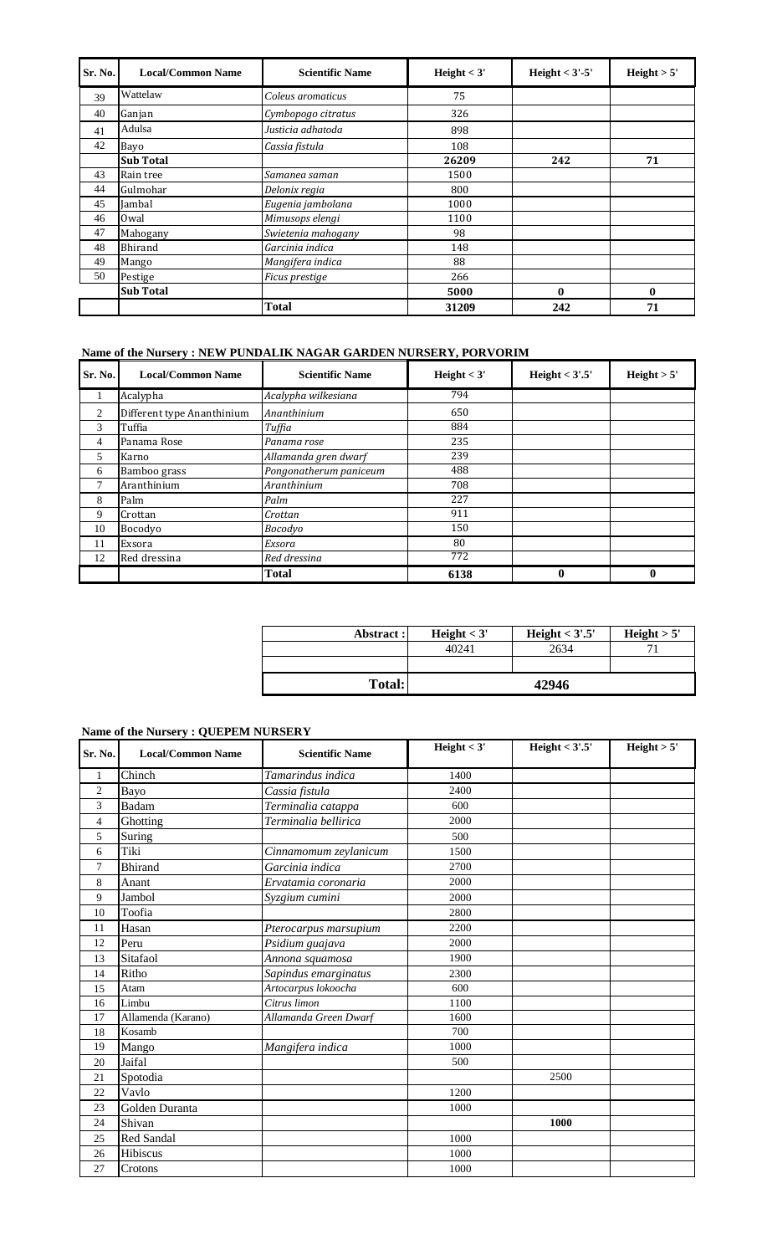| Sr. No. | <b>Local/Common Name</b> | <b>Scientific Name</b> | Height $<$ 3' | Height $<$ 3'-5' | Height $> 5'$ |
|---------|--------------------------|------------------------|---------------|------------------|---------------|
| 39      | Wattelaw                 | Coleus aromaticus      | 75            |                  |               |
| 40      | Ganjan                   | Cymbopogo citratus     | 326           |                  |               |
| 41      | Adulsa                   | Justicia adhatoda      | 898           |                  |               |
| 42      | Bayo                     | Cassia fistula         | 108           |                  |               |
|         | <b>Sub Total</b>         |                        | 26209         | 242              | 71            |
| 43      | Rain tree                | Samanea saman          | 1500          |                  |               |
| 44      | Gulmohar                 | Delonix regia          | 800           |                  |               |
| 45      | Jambal                   | Eugenia jambolana      | 1000          |                  |               |
| 46      | 0wal                     | Mimusops elengi        | 1100          |                  |               |
| 47      | Mahogany                 | Swietenia mahogany     | 98            |                  |               |
| 48      | Bhirand                  | Garcinia indica        | 148           |                  |               |
| 49      | Mango                    | Mangifera indica       | 88            |                  |               |
| 50      | Pestige                  | Ficus prestige         | 266           |                  |               |
|         | <b>Sub Total</b>         |                        | 5000          | $\bf{0}$         | 0             |
|         |                          | <b>Total</b>           | 31209         | 242              | 71            |

# **Name of the Nursery : NEW PUNDALIK NAGAR GARDEN NURSERY, PORVORIM**

| Sr. No.        | <b>Local/Common Name</b>   | <b>Scientific Name</b> | Height $<$ 3' | Height $<$ 3'.5' | Height > 5'  |
|----------------|----------------------------|------------------------|---------------|------------------|--------------|
| 1              | Acalypha                   | Acalypha wilkesiana    | 794           |                  |              |
| $\overline{2}$ | Different type Ananthinium | Ananthinium            | 650           |                  |              |
| 3              | Tuffia                     | Tuffia                 | 884           |                  |              |
| 4              | Panama Rose                | Panama rose            | 235           |                  |              |
| 5              | Karno                      | Allamanda gren dwarf   | 239           |                  |              |
| 6              | Bamboo grass               | Pongonatherum paniceum | 488           |                  |              |
| 7              | Aranthinium                | Aranthinium            | 708           |                  |              |
| 8              | Palm                       | Palm                   | 227           |                  |              |
| 9              | Crottan                    | Crottan                | 911           |                  |              |
| 10             | Bocodyo                    | Bocodyo                | 150           |                  |              |
| 11             | Exsora                     | Exsora                 | 80            |                  |              |
| 12             | Red dressina               | Red dressina           | 772           |                  |              |
|                |                            | Total                  | 6138          | $\bf{0}$         | $\mathbf{0}$ |

| Abstract:     | Height $<$ 3' | Height $<$ 3'.5' | Height $> 5'$ |
|---------------|---------------|------------------|---------------|
|               | 40241         | 2634             |               |
|               |               |                  |               |
| <b>Total:</b> |               | 42946            |               |

# **Name of the Nursery : QUEPEM NURSERY**

| Sr. No.        | <b>Local/Common Name</b> | <b>Scientific Name</b> | Height $<$ 3' | Height $<$ 3'.5' | Height > 5' |
|----------------|--------------------------|------------------------|---------------|------------------|-------------|
| 1              | Chinch                   | Tamarindus indica      | 1400          |                  |             |
| $\overline{c}$ | Bayo                     | Cassia fistula         | 2400          |                  |             |
| 3              | Badam                    | Terminalia catappa     | 600           |                  |             |
| 4              | Ghotting                 | Terminalia bellirica   | 2000          |                  |             |
| 5              | Suring                   |                        | 500           |                  |             |
| 6              | Tiki                     | Cinnamomum zeylanicum  | 1500          |                  |             |
| 7              | <b>Bhirand</b>           | Garcinia indica        | 2700          |                  |             |
| 8              | Anant                    | Ervatamia coronaria    | 2000          |                  |             |
| 9              | Jambol                   | Syzgium cumini         | 2000          |                  |             |
| 10             | Toofia                   |                        | 2800          |                  |             |
| 11             | Hasan                    | Pterocarpus marsupium  | 2200          |                  |             |
| 12             | Peru                     | Psidium guajava        | 2000          |                  |             |
| 13             | Sitafaol                 | Annona squamosa        | 1900          |                  |             |
| 14             | Ritho                    | Sapindus emarginatus   | 2300          |                  |             |
| 15             | Atam                     | Artocarpus lokoocha    | 600           |                  |             |
| 16             | Limbu                    | Citrus limon           | 1100          |                  |             |
| 17             | Allamenda (Karano)       | Allamanda Green Dwarf  | 1600          |                  |             |
| 18             | Kosamb                   |                        | 700           |                  |             |
| 19             | Mango                    | Mangifera indica       | 1000          |                  |             |
| 20             | Jaifal                   |                        | 500           |                  |             |
| 21             | Spotodia                 |                        |               | 2500             |             |
| 22             | Vavlo                    |                        | 1200          |                  |             |
| 23             | Golden Duranta           |                        | 1000          |                  |             |
| 24             | Shivan                   |                        |               | 1000             |             |
| 25             | Red Sandal               |                        | 1000          |                  |             |
| 26             | Hibiscus                 |                        | 1000          |                  |             |
| 27             | Crotons                  |                        | 1000          |                  |             |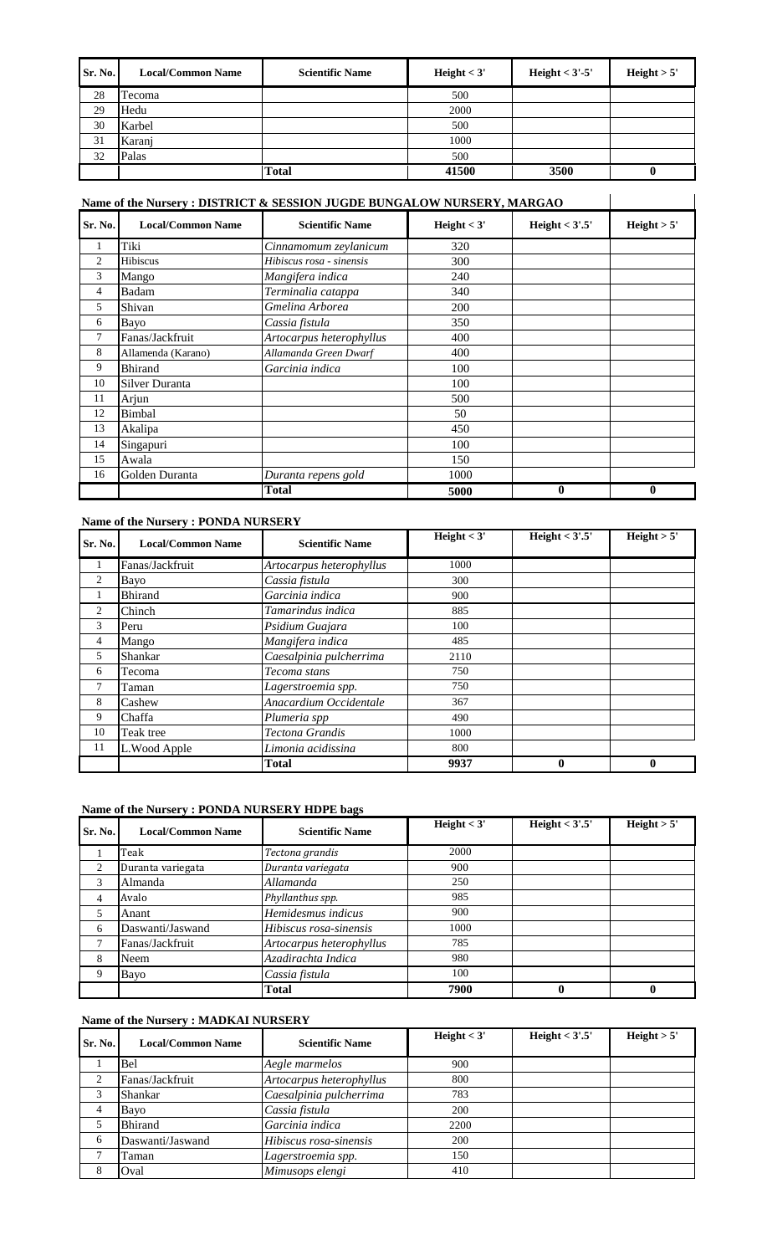| Sr. No. | <b>Local/Common Name</b> | <b>Scientific Name</b> | Height $<$ 3' | Height $<$ 3'-5' | Height $> 5'$ |
|---------|--------------------------|------------------------|---------------|------------------|---------------|
| 28      | Tecoma                   |                        | 500           |                  |               |
| 29      | Hedu                     |                        | 2000          |                  |               |
| 30      | Karbel                   |                        | 500           |                  |               |
| 31      | Karanj                   |                        | 1000          |                  |               |
| 32      | Palas                    |                        | 500           |                  |               |
|         |                          | <b>Total</b>           | 41500         | 3500             |               |

# **Name of the Nursery : DISTRICT & SESSION JUGDE BUNGALOW NURSERY, MARGAO**

| Name of the Nursery: DISTRICT & SESSION JUGDE BUNGALOW NURSERY, MARGAO |                          |                          |               |                  |              |
|------------------------------------------------------------------------|--------------------------|--------------------------|---------------|------------------|--------------|
| Sr. No.                                                                | <b>Local/Common Name</b> | <b>Scientific Name</b>   | Height $<$ 3' | Height $<$ 3'.5' | Height > 5'  |
| 1                                                                      | Tiki                     | Cinnamomum zeylanicum    | 320           |                  |              |
| $\overline{c}$                                                         | Hibiscus                 | Hibiscus rosa - sinensis | 300           |                  |              |
| 3                                                                      | Mango                    | Mangifera indica         | 240           |                  |              |
| 4                                                                      | Badam                    | Terminalia catappa       | 340           |                  |              |
| 5                                                                      | Shivan                   | Gmelina Arborea          | 200           |                  |              |
| 6                                                                      | Bayo                     | Cassia fistula           | 350           |                  |              |
| 7                                                                      | Fanas/Jackfruit          | Artocarpus heterophyllus | 400           |                  |              |
| 8                                                                      | Allamenda (Karano)       | Allamanda Green Dwarf    | 400           |                  |              |
| 9                                                                      | <b>Bhirand</b>           | Garcinia indica          | 100           |                  |              |
| 10                                                                     | Silver Duranta           |                          | 100           |                  |              |
| 11                                                                     | Arjun                    |                          | 500           |                  |              |
| 12                                                                     | Bimbal                   |                          | 50            |                  |              |
| 13                                                                     | Akalipa                  |                          | 450           |                  |              |
| 14                                                                     | Singapuri                |                          | 100           |                  |              |
| 15                                                                     | Awala                    |                          | 150           |                  |              |
| 16                                                                     | Golden Duranta           | Duranta repens gold      | 1000          |                  |              |
|                                                                        |                          | <b>Total</b>             | 5000          | $\bf{0}$         | $\mathbf{0}$ |

#### **Name of the Nursery : PONDA NURSERY**

| Sr. No. | <b>Local/Common Name</b> | <b>Scientific Name</b>   | Height $<$ 3' | Height $<$ 3'.5' | Height $> 5'$ |
|---------|--------------------------|--------------------------|---------------|------------------|---------------|
| 1       | Fanas/Jackfruit          | Artocarpus heterophyllus | 1000          |                  |               |
| 2       | Bayo                     | Cassia fistula           | 300           |                  |               |
| -1      | <b>Bhirand</b>           | Garcinia indica          | 900           |                  |               |
| 2       | Chinch                   | Tamarindus indica        | 885           |                  |               |
| 3       | Peru                     | Psidium Guajara          | 100           |                  |               |
| 4       | Mango                    | Mangifera indica         | 485           |                  |               |
| 5       | Shankar                  | Caesalpinia pulcherrima  | 2110          |                  |               |
| 6       | Tecoma                   | Tecoma stans             | 750           |                  |               |
| 7       | Taman                    | Lagerstroemia spp.       | 750           |                  |               |
| 8       | Cashew                   | Anacardium Occidentale   | 367           |                  |               |
| 9       | Chaffa                   | Plumeria spp             | 490           |                  |               |
| 10      | Teak tree                | Tectona Grandis          | 1000          |                  |               |
| 11      | L.Wood Apple             | Limonia acidissina       | 800           |                  |               |
|         |                          | <b>Total</b>             | 9937          | $\bf{0}$         | $\bf{0}$      |

#### **Name of the Nursery : PONDA NURSERY HDPE bags**

| Sr. No.       | <b>Local/Common Name</b> | <b>Scientific Name</b>   | Height $<$ 3' | Height $<$ 3'.5' | Height > 5' |
|---------------|--------------------------|--------------------------|---------------|------------------|-------------|
|               | Teak                     | Tectona grandis          | 2000          |                  |             |
| 2             | Duranta variegata        | Duranta variegata        | 900           |                  |             |
| 3             | Almanda                  | Allamanda                | 250           |                  |             |
| 4             | Avalo                    | Phyllanthus spp.         | 985           |                  |             |
| 5             | Anant                    | Hemidesmus indicus       | 900           |                  |             |
| 6             | Daswanti/Jaswand         | Hibiscus rosa-sinensis   | 1000          |                  |             |
| $\mathcal{L}$ | Fanas/Jackfruit          | Artocarpus heterophyllus | 785           |                  |             |
| 8             | Neem                     | Azadirachta Indica       | 980           |                  |             |
| 9             | Bayo                     | Cassia fistula           | 100           |                  |             |
|               |                          | Total                    | 7900          | 0                |             |

#### **Name of the Nursery : MADKAI NURSERY**

| Sr. No. | <b>Local/Common Name</b> | <b>Scientific Name</b>   | Height $<$ 3' | Height $<$ 3'.5' | Height > 5' |
|---------|--------------------------|--------------------------|---------------|------------------|-------------|
|         | Bel                      | Aegle marmelos           | 900           |                  |             |
| 2       | Fanas/Jackfruit          | Artocarpus heterophyllus | 800           |                  |             |
| 3       | Shankar                  | Caesalpinia pulcherrima  | 783           |                  |             |
| 4       | Bayo                     | Cassia fistula           | 200           |                  |             |
|         | <b>Bhirand</b>           | Garcinia indica          | 2200          |                  |             |
| 6       | Daswanti/Jaswand         | Hibiscus rosa-sinensis   | 200           |                  |             |
|         | Taman                    | Lagerstroemia spp.       | 150           |                  |             |
| 8       | Oval                     | Mimusops elengi          | 410           |                  |             |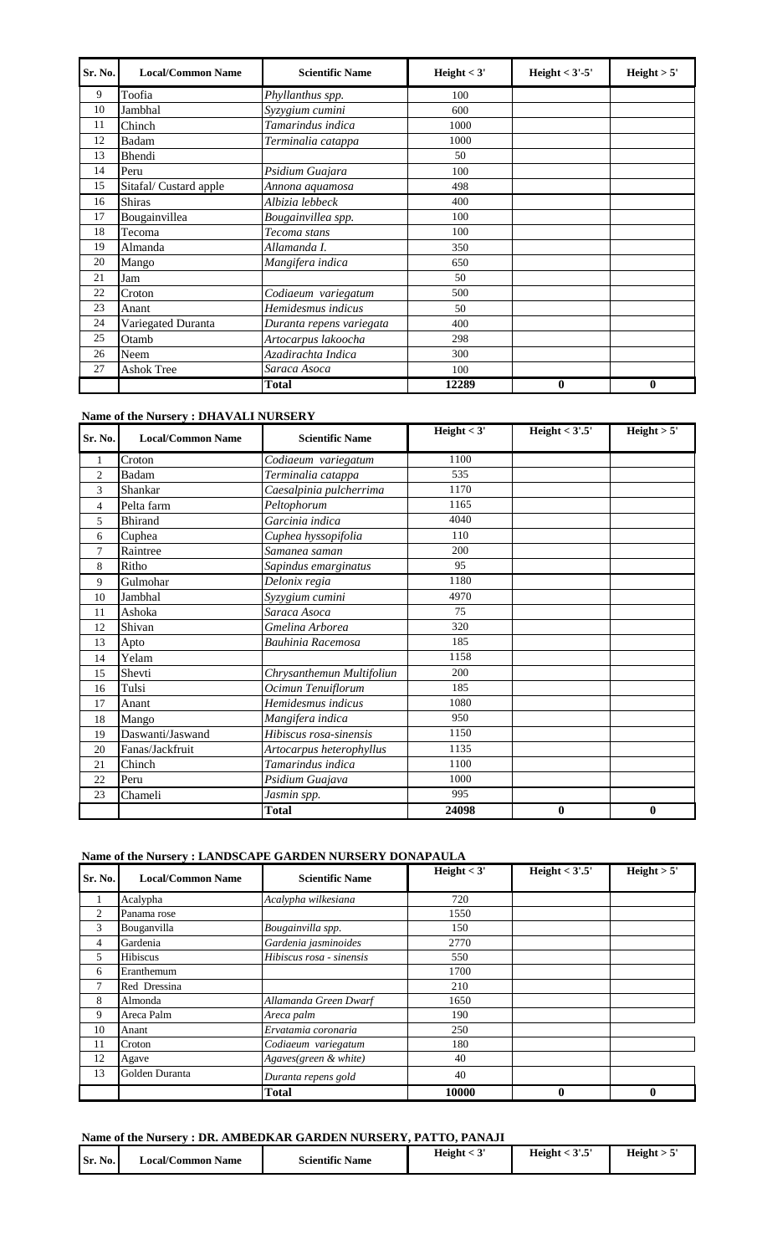| Sr. No. | <b>Local/Common Name</b> | <b>Scientific Name</b>   | Height $<$ 3' | Height $<$ 3'-5' | Height > 5' |
|---------|--------------------------|--------------------------|---------------|------------------|-------------|
| 9       | Toofia                   | Phyllanthus spp.         | 100           |                  |             |
| 10      | Jambhal                  | Syzygium cumini          | 600           |                  |             |
| 11      | Chinch                   | Tamarindus indica        | 1000          |                  |             |
| 12      | Badam                    | Terminalia catappa       | 1000          |                  |             |
| 13      | Bhendi                   |                          | 50            |                  |             |
| 14      | Peru                     | Psidium Guajara          | 100           |                  |             |
| 15      | Sitafal/Custard apple    | Annona aquamosa          | 498           |                  |             |
| 16      | <b>Shiras</b>            | Albizia lebbeck          | 400           |                  |             |
| 17      | Bougainvillea            | Bougainvillea spp.       | 100           |                  |             |
| 18      | Tecoma                   | Tecoma stans             | 100           |                  |             |
| 19      | Almanda                  | Allamanda I.             | 350           |                  |             |
| 20      | Mango                    | Mangifera indica         | 650           |                  |             |
| 21      | Jam                      |                          | 50            |                  |             |
| 22      | Croton                   | Codiaeum variegatum      | 500           |                  |             |
| 23      | Anant                    | Hemidesmus indicus       | 50            |                  |             |
| 24      | Variegated Duranta       | Duranta repens variegata | 400           |                  |             |
| 25      | Otamb                    | Artocarpus lakoocha      | 298           |                  |             |
| 26      | Neem                     | Azadirachta Indica       | 300           |                  |             |
| 27      | <b>Ashok Tree</b>        | Saraca Asoca             | 100           |                  |             |
|         |                          | <b>Total</b>             | 12289         | $\bf{0}$         | $\bf{0}$    |

# **Name of the Nursery : DHAVALI NURSERY**

| Sr. No.        | <b>Local/Common Name</b> | <b>Scientific Name</b>    | Height $<$ 3' | Height $<$ 3'.5' | Height > 5' |
|----------------|--------------------------|---------------------------|---------------|------------------|-------------|
| 1              | Croton                   | Codiaeum variegatum       | 1100          |                  |             |
| $\overline{2}$ | Badam                    | Terminalia catappa        | 535           |                  |             |
| 3              | Shankar                  | Caesalpinia pulcherrima   | 1170          |                  |             |
| 4              | Pelta farm               | Peltophorum               | 1165          |                  |             |
| 5              | <b>Bhirand</b>           | Garcinia indica           | 4040          |                  |             |
| 6              | Cuphea                   | Cuphea hyssopifolia       | 110           |                  |             |
| 7              | Raintree                 | Samanea saman             | 200           |                  |             |
| 8              | Ritho                    | Sapindus emarginatus      | 95            |                  |             |
| 9              | Gulmohar                 | Delonix regia             | 1180          |                  |             |
| 10             | Jambhal                  | Syzygium cumini           | 4970          |                  |             |
| 11             | Ashoka                   | Saraca Asoca              | 75            |                  |             |
| 12             | Shivan                   | Gmelina Arborea           | 320           |                  |             |
| 13             | Apto                     | Bauhinia Racemosa         | 185           |                  |             |
| 14             | Yelam                    |                           | 1158          |                  |             |
| 15             | Shevti                   | Chrysanthemun Multifoliun | 200           |                  |             |
| 16             | Tulsi                    | Ocimun Tenuiflorum        | 185           |                  |             |
| 17             | Anant                    | Hemidesmus indicus        | 1080          |                  |             |
| 18             | Mango                    | Mangifera indica          | 950           |                  |             |
| 19             | Daswanti/Jaswand         | Hibiscus rosa-sinensis    | 1150          |                  |             |
| 20             | Fanas/Jackfruit          | Artocarpus heterophyllus  | 1135          |                  |             |
| 21             | Chinch                   | Tamarindus indica         | 1100          |                  |             |
| 22             | Peru                     | Psidium Guajava           | 1000          |                  |             |
| 23             | Chameli                  | Jasmin spp.               | 995           |                  |             |
|                |                          | <b>Total</b>              | 24098         | $\bf{0}$         | $\bf{0}$    |

# **Name of the Nursery : LANDSCAPE GARDEN NURSERY DONAPAULA**

| Sr. No. | <b>Local/Common Name</b> | <b>Scientific Name</b>   | Height $<$ 3' | Height < $3^{\prime}.\overline{5^{\prime}}$ | Height > 5'  |
|---------|--------------------------|--------------------------|---------------|---------------------------------------------|--------------|
|         | Acalypha                 | Acalypha wilkesiana      | 720           |                                             |              |
| 2       | Panama rose              |                          | 1550          |                                             |              |
| 3       | Bouganvilla              | Bougainvilla spp.        | 150           |                                             |              |
| 4       | Gardenia                 | Gardenia jasminoides     | 2770          |                                             |              |
| 5       | <b>Hibiscus</b>          | Hibiscus rosa - sinensis | 550           |                                             |              |
| 6       | Eranthemum               |                          | 1700          |                                             |              |
| 7       | Red Dressina             |                          | 210           |                                             |              |
| 8       | Almonda                  | Allamanda Green Dwarf    | 1650          |                                             |              |
| 9       | Areca Palm               | Areca palm               | 190           |                                             |              |
| 10      | Anant                    | Ervatamia coronaria      | 250           |                                             |              |
| 11      | Croton                   | Codiaeum variegatum      | 180           |                                             |              |
| 12      | Agave                    | Agaves(green & white)    | 40            |                                             |              |
| 13      | Golden Duranta           | Duranta repens gold      | 40            |                                             |              |
|         |                          | <b>Total</b>             | 10000         | $\bf{0}$                                    | $\mathbf{0}$ |

# **Name of the Nursery : DR. AMBEDKAR GARDEN NURSERY, PATTO, PANAJI**

| Sr. No. | ∟ocal/Common Name | <b>Scientific Name</b> | Height < | 2!E<br>Height <<br>ົ້ນ. | Height > 5 |
|---------|-------------------|------------------------|----------|-------------------------|------------|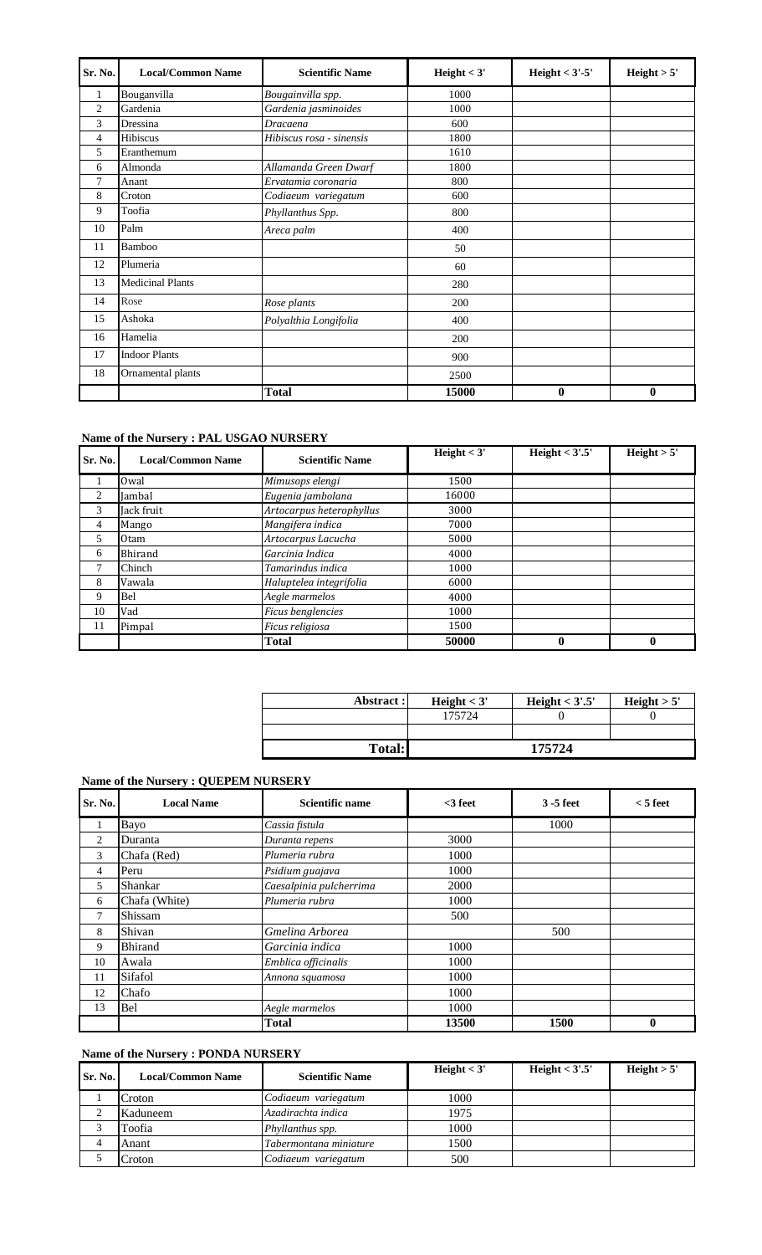| Sr. No.        | <b>Local/Common Name</b> | <b>Scientific Name</b>   | Height $<$ 3' | Height $<$ 3'-5' | Height > 5' |
|----------------|--------------------------|--------------------------|---------------|------------------|-------------|
| 1              | Bouganvilla              | Bougainvilla spp.        | 1000          |                  |             |
| $\overline{2}$ | Gardenia                 | Gardenia jasminoides     | 1000          |                  |             |
| 3              | Dressina                 | <b>Dracaena</b>          | 600           |                  |             |
| 4              | Hibiscus                 | Hibiscus rosa - sinensis | 1800          |                  |             |
| 5              | Eranthemum               |                          | 1610          |                  |             |
| 6              | Almonda                  | Allamanda Green Dwarf    | 1800          |                  |             |
| 7              | Anant                    | Ervatamia coronaria      | 800           |                  |             |
| 8              | Croton                   | Codiaeum variegatum      | 600           |                  |             |
| 9              | Toofia                   | Phyllanthus Spp.         | 800           |                  |             |
| 10             | Palm                     | Areca palm               | 400           |                  |             |
| 11             | Bamboo                   |                          | 50            |                  |             |
| 12             | Plumeria                 |                          | 60            |                  |             |
| 13             | <b>Medicinal Plants</b>  |                          | 280           |                  |             |
| 14             | Rose                     | Rose plants              | 200           |                  |             |
| 15             | Ashoka                   | Polyalthia Longifolia    | 400           |                  |             |
| 16             | Hamelia                  |                          | 200           |                  |             |
| 17             | <b>Indoor Plants</b>     |                          | 900           |                  |             |
| 18             | Ornamental plants        |                          | 2500          |                  |             |
|                |                          | <b>Total</b>             | 15000         | $\bf{0}$         | $\bf{0}$    |

# **Name of the Nursery : PAL USGAO NURSERY**

| Sr. No.        | <b>Local/Common Name</b> | <b>Scientific Name</b>   | Height $<$ 3' | Height $<$ 3'.5' | Height $> 5'$ |
|----------------|--------------------------|--------------------------|---------------|------------------|---------------|
|                | Owal                     | Mimusops elengi          | 1500          |                  |               |
| 2              | Jambal                   | Eugenia jambolana        | 16000         |                  |               |
| 3              | Jack fruit               | Artocarpus heterophyllus | 3000          |                  |               |
| $\overline{4}$ | Mango                    | Mangifera indica         | 7000          |                  |               |
| 5              | 0tam                     | Artocarpus Lacucha       | 5000          |                  |               |
| 6              | Bhirand                  | Garcinia Indica          | 4000          |                  |               |
| 7              | Chinch                   | Tamarindus indica        | 1000          |                  |               |
| 8              | Vawala                   | Haluptelea integrifolia  | 6000          |                  |               |
| 9              | Bel                      | Aegle marmelos           | 4000          |                  |               |
| 10             | Vad                      | Ficus benglencies        | 1000          |                  |               |
| 11             | Pimpal                   | Ficus religiosa          | 1500          |                  |               |
|                |                          | Total                    | 50000         | 0                | 0             |

| Abstract:     | Height $<$ 3' | Height $<$ 3'.5' | Height $> 5'$ |  |
|---------------|---------------|------------------|---------------|--|
|               | 175724        |                  |               |  |
|               |               |                  |               |  |
| <b>Total:</b> | 175724        |                  |               |  |

# **Name of the Nursery : QUEPEM NURSERY**

| Sr. No.        | <b>Local Name</b> | Scientific name         | $<$ 3 feet | $3 - 5$ feet | $<$ 5 feet |
|----------------|-------------------|-------------------------|------------|--------------|------------|
| 1              | Bayo              | Cassia fistula          |            | 1000         |            |
| 2              | Duranta           | Duranta repens          | 3000       |              |            |
| 3              | Chafa (Red)       | Plumeria rubra          | 1000       |              |            |
| $\overline{4}$ | Peru              | Psidium guajava         | 1000       |              |            |
| 5              | Shankar           | Caesalpinia pulcherrima | 2000       |              |            |
| 6              | Chafa (White)     | Plumeria rubra          | 1000       |              |            |
| 7              | Shissam           |                         | 500        |              |            |
| 8              | Shivan            | Gmelina Arborea         |            | 500          |            |
| 9              | <b>Bhirand</b>    | Garcinia indica         | 1000       |              |            |
| 10             | Awala             | Emblica officinalis     | 1000       |              |            |
| 11             | Sifafol           | Annona squamosa         | 1000       |              |            |
| 12             | Chafo             |                         | 1000       |              |            |
| 13             | Bel               | Aegle marmelos          | 1000       |              |            |
|                |                   | <b>Total</b>            | 13500      | 1500         | 0          |

#### **Name of the Nursery : PONDA NURSERY**

| Sr. No. | <b>Local/Common Name</b> | <b>Scientific Name</b> | Height $<$ 3' | Height $<$ 3'.5' | Height $> 5'$ |
|---------|--------------------------|------------------------|---------------|------------------|---------------|
|         | Croton                   | Codiaeum variegatum    | 1000          |                  |               |
|         | Kaduneem                 | Azadirachta indica     | 1975          |                  |               |
|         | Toofia                   | Phyllanthus spp.       | 1000          |                  |               |
|         | Anant                    | Tabermontana miniature | 1500          |                  |               |
|         | Croton                   | Codiaeum variegatum    | 500           |                  |               |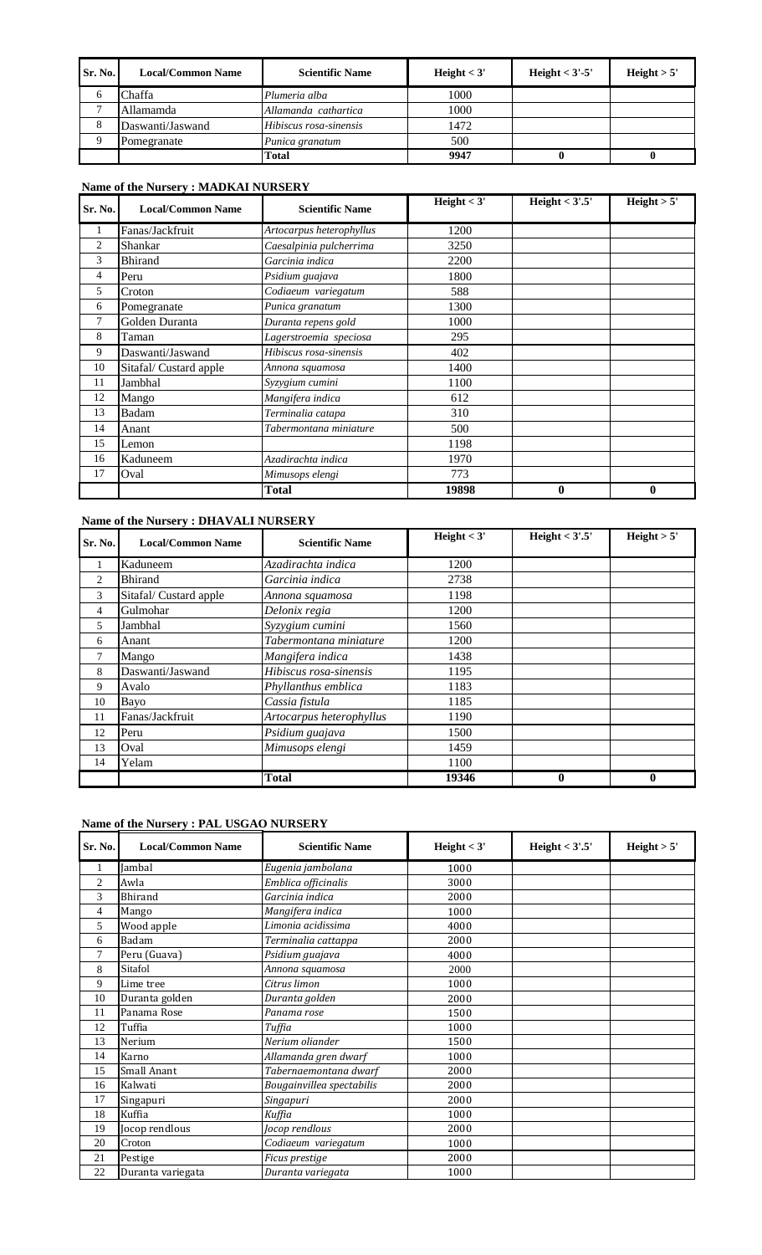| Sr. No. | <b>Local/Common Name</b> | <b>Scientific Name</b> | Height $<$ 3' | Height $<$ 3'-5' | Height $> 5'$ |
|---------|--------------------------|------------------------|---------------|------------------|---------------|
| O       | Chaffa                   | Plumeria alba          | 1000          |                  |               |
|         | Allamamda                | Allamanda cathartica   | 1000          |                  |               |
| 8       | Daswanti/Jaswand         | Hibiscus rosa-sinensis | 1472          |                  |               |
|         | Pomegranate              | Punica granatum        | 500           |                  |               |
|         |                          | Total                  | 9947          |                  |               |

# **Name of the Nursery : MADKAI NURSERY**

| Sr. No. | <b>Local/Common Name</b> | <b>Scientific Name</b>   | Height $<$ 3' | Height $<$ 3'.5' | Height $> 5'$ |
|---------|--------------------------|--------------------------|---------------|------------------|---------------|
| 1       | Fanas/Jackfruit          | Artocarpus heterophyllus | 1200          |                  |               |
| 2       | Shankar                  | Caesalpinia pulcherrima  | 3250          |                  |               |
| 3       | <b>Bhirand</b>           | Garcinia indica          | 2200          |                  |               |
| 4       | Peru                     | Psidium guajava          | 1800          |                  |               |
| 5       | Croton                   | Codiaeum variegatum      | 588           |                  |               |
| 6       | Pomegranate              | Punica granatum          | 1300          |                  |               |
| 7       | Golden Duranta           | Duranta repens gold      | 1000          |                  |               |
| 8       | Taman                    | Lagerstroemia speciosa   | 295           |                  |               |
| 9       | Daswanti/Jaswand         | Hibiscus rosa-sinensis   | 402           |                  |               |
| 10      | Sitafal/Custard apple    | Annona squamosa          | 1400          |                  |               |
| 11      | Jambhal                  | Syzygium cumini          | 1100          |                  |               |
| 12      | Mango                    | Mangifera indica         | 612           |                  |               |
| 13      | Badam                    | Terminalia catapa        | 310           |                  |               |
| 14      | Anant                    | Tabermontana miniature   | 500           |                  |               |
| 15      | Lemon                    |                          | 1198          |                  |               |
| 16      | Kaduneem                 | Azadirachta indica       | 1970          |                  |               |
| 17      | Oval                     | Mimusops elengi          | 773           |                  |               |
|         |                          | Total                    | 19898         | $\bf{0}$         | 0             |

# **Name of the Nursery : DHAVALI NURSERY**

| Sr. No. | <b>Local/Common Name</b> | <b>Scientific Name</b>   | Height $<$ 3' | Height $<$ 3'.5' | Height > 5' |
|---------|--------------------------|--------------------------|---------------|------------------|-------------|
|         | Kaduneem                 | Azadirachta indica       | 1200          |                  |             |
| 2       | <b>Bhirand</b>           | Garcinia indica          | 2738          |                  |             |
| 3       | Sitafal/Custard apple    | Annona squamosa          | 1198          |                  |             |
| 4       | Gulmohar                 | Delonix regia            | 1200          |                  |             |
| 5       | Jambhal                  | Syzygium cumini          | 1560          |                  |             |
| 6       | Anant                    | Tabermontana miniature   | 1200          |                  |             |
| 7       | Mango                    | Mangifera indica         | 1438          |                  |             |
| 8       | Daswanti/Jaswand         | Hibiscus rosa-sinensis   | 1195          |                  |             |
| 9       | Avalo                    | Phyllanthus emblica      | 1183          |                  |             |
| 10      | Bayo                     | Cassia fistula           | 1185          |                  |             |
| 11      | Fanas/Jackfruit          | Artocarpus heterophyllus | 1190          |                  |             |
| 12      | Peru                     | Psidium guajava          | 1500          |                  |             |
| 13      | Oval                     | Mimusops elengi          | 1459          |                  |             |
| 14      | Yelam                    |                          | 1100          |                  |             |
|         |                          | <b>Total</b>             | 19346         | $\bf{0}$         | 0           |

### **Name of the Nursery : PAL USGAO NURSERY**

| Sr. No.        | <b>Local/Common Name</b> | <b>Scientific Name</b>    | Height $<$ 3' | Height $<$ 3'.5' | Height $> 5'$ |
|----------------|--------------------------|---------------------------|---------------|------------------|---------------|
| 1              | Jambal                   | Eugenia jambolana         | 1000          |                  |               |
| $\mathfrak{2}$ | Awla                     | Emblica officinalis       | 3000          |                  |               |
| 3              | <b>Bhirand</b>           | Garcinia indica           | 2000          |                  |               |
| 4              | Mango                    | Mangifera indica          | 1000          |                  |               |
| 5              | Wood apple               | Limonia acidissima        | 4000          |                  |               |
| 6              | Badam                    | Terminalia cattappa       | 2000          |                  |               |
| 7              | Peru (Guava)             | Psidium guajava           | 4000          |                  |               |
| 8              | Sitafol                  | Annona squamosa           | 2000          |                  |               |
| 9              | Lime tree                | Citrus limon              | 1000          |                  |               |
| 10             | Duranta golden           | Duranta golden            | 2000          |                  |               |
| 11             | Panama Rose              | Panama rose               | 1500          |                  |               |
| 12             | Tuffia                   | Tuffia                    | 1000          |                  |               |
| 13             | Nerium                   | Nerium oliander           | 1500          |                  |               |
| 14             | Karno                    | Allamanda gren dwarf      | 1000          |                  |               |
| 15             | Small Anant              | Tabernaemontana dwarf     | 2000          |                  |               |
| 16             | Kalwati                  | Bougainvillea spectabilis | 2000          |                  |               |
| 17             | Singapuri                | Singapuri                 | 2000          |                  |               |
| 18             | Kuffia                   | Kuffia                    | 1000          |                  |               |
| 19             | Jocop rendlous           | Jocop rendlous            | 2000          |                  |               |
| 20             | Croton                   | Codiaeum variegatum       | 1000          |                  |               |
| 21             | Pestige                  | Ficus prestige            | 2000          |                  |               |
| 22             | Duranta variegata        | Duranta variegata         | 1000          |                  |               |